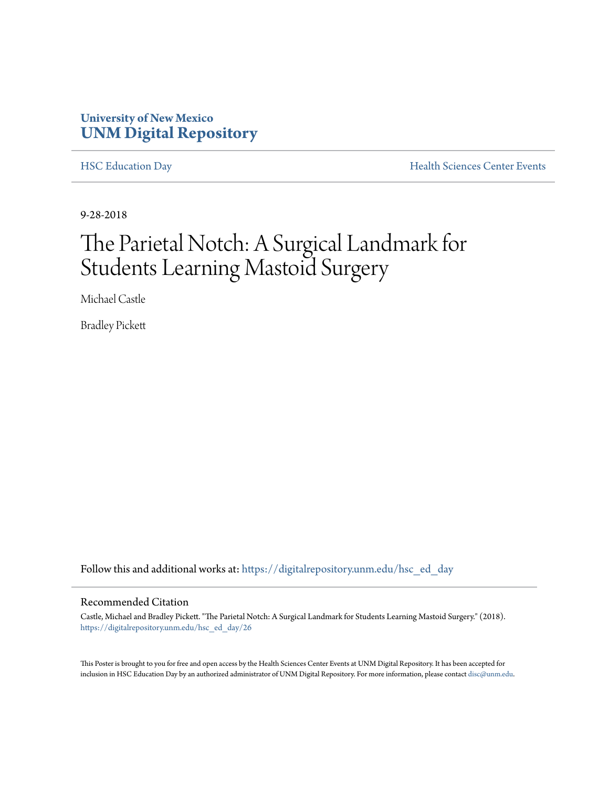#### **University of New Mexico [UNM Digital Repository](https://digitalrepository.unm.edu?utm_source=digitalrepository.unm.edu%2Fhsc_ed_day%2F26&utm_medium=PDF&utm_campaign=PDFCoverPages)**

[HSC Education Day](https://digitalrepository.unm.edu/hsc_ed_day?utm_source=digitalrepository.unm.edu%2Fhsc_ed_day%2F26&utm_medium=PDF&utm_campaign=PDFCoverPages) **[Health Sciences Center Events](https://digitalrepository.unm.edu/hsc_events?utm_source=digitalrepository.unm.edu%2Fhsc_ed_day%2F26&utm_medium=PDF&utm_campaign=PDFCoverPages)** 

9-28-2018

### The Parietal Notch: A Surgical Landmark for Students Learning Mastoid Surgery

Michael Castle

Bradley Pickett

Follow this and additional works at: [https://digitalrepository.unm.edu/hsc\\_ed\\_day](https://digitalrepository.unm.edu/hsc_ed_day?utm_source=digitalrepository.unm.edu%2Fhsc_ed_day%2F26&utm_medium=PDF&utm_campaign=PDFCoverPages)

#### Recommended Citation

Castle, Michael and Bradley Pickett. "The Parietal Notch: A Surgical Landmark for Students Learning Mastoid Surgery." (2018). [https://digitalrepository.unm.edu/hsc\\_ed\\_day/26](https://digitalrepository.unm.edu/hsc_ed_day/26?utm_source=digitalrepository.unm.edu%2Fhsc_ed_day%2F26&utm_medium=PDF&utm_campaign=PDFCoverPages)

This Poster is brought to you for free and open access by the Health Sciences Center Events at UNM Digital Repository. It has been accepted for inclusion in HSC Education Day by an authorized administrator of UNM Digital Repository. For more information, please contact [disc@unm.edu](mailto:disc@unm.edu).